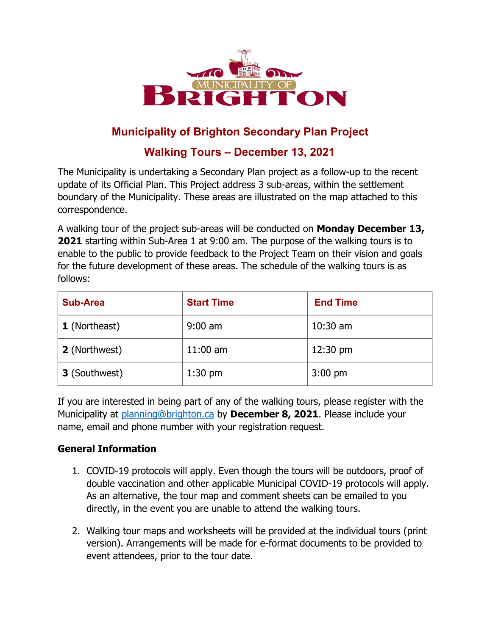

## **Municipality of Brighton Secondary Plan Project**

## **Walking Tours – December 13, 2021**

The Municipality is undertaking a Secondary Plan project as a follow-up to the recent update of its Official Plan. This Project address 3 sub-areas, within the settlement boundary of the Municipality. These areas are illustrated on the map attached to this correspondence.

A walking tour of the project sub-areas will be conducted on **Monday December 13, 2021** starting within Sub-Area 1 at 9:00 am. The purpose of the walking tours is to enable to the public to provide feedback to the Project Team on their vision and goals for the future development of these areas. The schedule of the walking tours is as follows:

| <b>Sub-Area</b>      | <b>Start Time</b> | <b>End Time</b>    |
|----------------------|-------------------|--------------------|
| <b>1</b> (Northeast) | $9:00$ am         | $10:30$ am         |
| 2 (Northwest)        | $11:00$ am        | $12:30 \text{ pm}$ |
| 3 (Southwest)        | $1:30$ pm         | $3:00$ pm          |

If you are interested in being part of any of the walking tours, please register with the Municipality at [planning@brighton.ca](mailto:planning@brighton.ca) by **December 8, 2021**. Please include your name, email and phone number with your registration request.

## **General Information**

- 1. COVID-19 protocols will apply. Even though the tours will be outdoors, proof of double vaccination and other applicable Municipal COVID-19 protocols will apply. As an alternative, the tour map and comment sheets can be emailed to you directly, in the event you are unable to attend the walking tours.
- 2. Walking tour maps and worksheets will be provided at the individual tours (print version). Arrangements will be made for e-format documents to be provided to event attendees, prior to the tour date.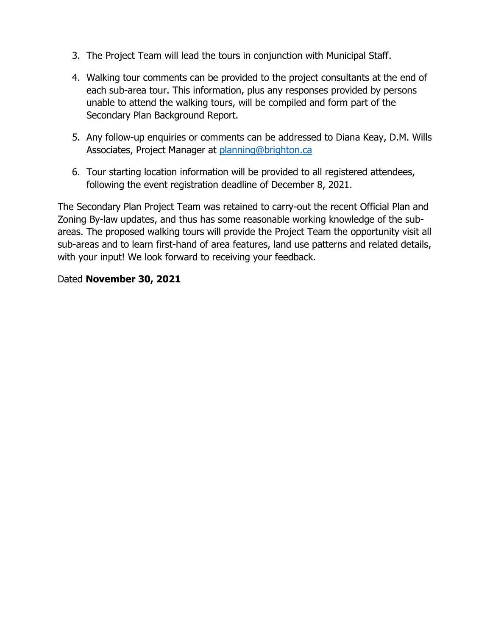- 3. The Project Team will lead the tours in conjunction with Municipal Staff.
- 4. Walking tour comments can be provided to the project consultants at the end of each sub-area tour. This information, plus any responses provided by persons unable to attend the walking tours, will be compiled and form part of the Secondary Plan Background Report.
- 5. Any follow-up enquiries or comments can be addressed to Diana Keay, D.M. Wills Associates, Project Manager at [planning@brighton.ca](mailto:planning@brighton.ca)
- 6. Tour starting location information will be provided to all registered attendees, following the event registration deadline of December 8, 2021.

The Secondary Plan Project Team was retained to carry-out the recent Official Plan and Zoning By-law updates, and thus has some reasonable working knowledge of the subareas. The proposed walking tours will provide the Project Team the opportunity visit all sub-areas and to learn first-hand of area features, land use patterns and related details, with your input! We look forward to receiving your feedback.

## Dated **November 30, 2021**